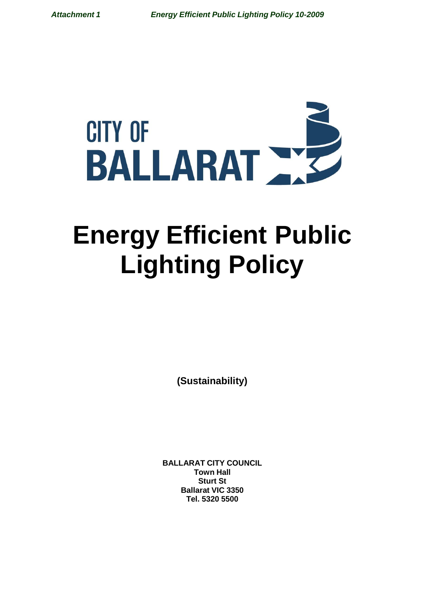

# **Energy Efficient Public Lighting Policy**

**(Sustainability)**

**BALLARAT CITY COUNCIL Town Hall Sturt St Ballarat VIC 3350 Tel. 5320 5500**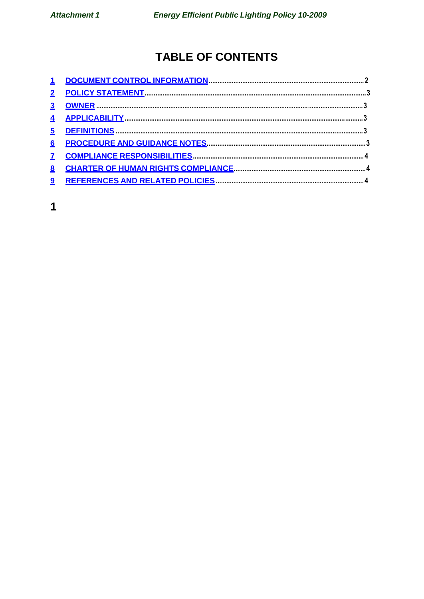# **TABLE OF CONTENTS**

| $\overline{\mathbf{5}}$ |  |
|-------------------------|--|
| $6\overline{6}$         |  |
|                         |  |
| 8                       |  |
|                         |  |

 $\overline{\mathbf{1}}$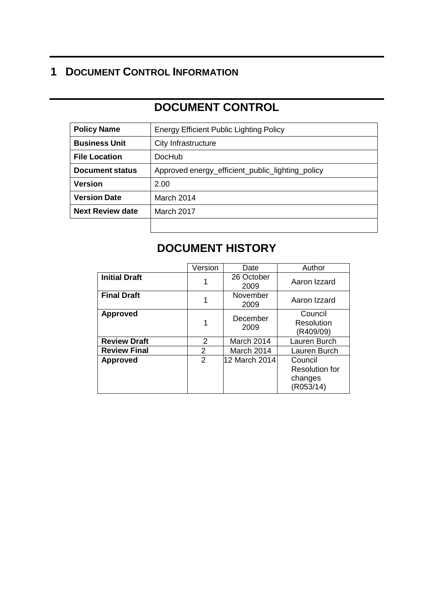## **1 DOCUMENT CONTROL INFORMATION**

# **DOCUMENT CONTROL**

| <b>Policy Name</b>      | <b>Energy Efficient Public Lighting Policy</b>   |  |  |
|-------------------------|--------------------------------------------------|--|--|
| <b>Business Unit</b>    | City Infrastructure                              |  |  |
| <b>File Location</b>    | <b>DocHub</b>                                    |  |  |
| Document status         | Approved energy_efficient_public_lighting_policy |  |  |
| <b>Version</b>          | 2.00                                             |  |  |
| <b>Version Date</b>     | March 2014                                       |  |  |
| <b>Next Review date</b> | March 2017                                       |  |  |
|                         |                                                  |  |  |

# **DOCUMENT HISTORY**

|                      | Version | Date               | Author                                                   |
|----------------------|---------|--------------------|----------------------------------------------------------|
| <b>Initial Draft</b> |         | 26 October<br>2009 | Aaron Izzard                                             |
| <b>Final Draft</b>   |         | November<br>2009   | Aaron Izzard                                             |
| <b>Approved</b>      |         | December<br>2009   | Council<br>Resolution<br>(R409/09)                       |
| <b>Review Draft</b>  | 2       | March 2014         | Lauren Burch                                             |
| <b>Review Final</b>  | 2       | March 2014         | Lauren Burch                                             |
| <b>Approved</b>      | 2       | 12 March 2014      | Council<br><b>Resolution for</b><br>changes<br>(R053/14) |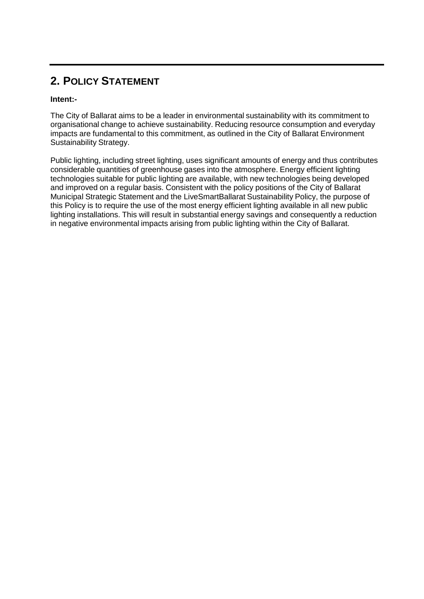## **2. POLICY STATEMENT**

#### **Intent:-**

The City of Ballarat aims to be a leader in environmental sustainability with its commitment to organisational change to achieve sustainability. Reducing resource consumption and everyday impacts are fundamental to this commitment, as outlined in the City of Ballarat Environment Sustainability Strategy.

Public lighting, including street lighting, uses significant amounts of energy and thus contributes considerable quantities of greenhouse gases into the atmosphere. Energy efficient lighting technologies suitable for public lighting are available, with new technologies being developed and improved on a regular basis. Consistent with the policy positions of the City of Ballarat Municipal Strategic Statement and the LiveSmartBallarat Sustainability Policy, the purpose of this Policy is to require the use of the most energy efficient lighting available in all new public lighting installations. This will result in substantial energy savings and consequently a reduction in negative environmental impacts arising from public lighting within the City of Ballarat.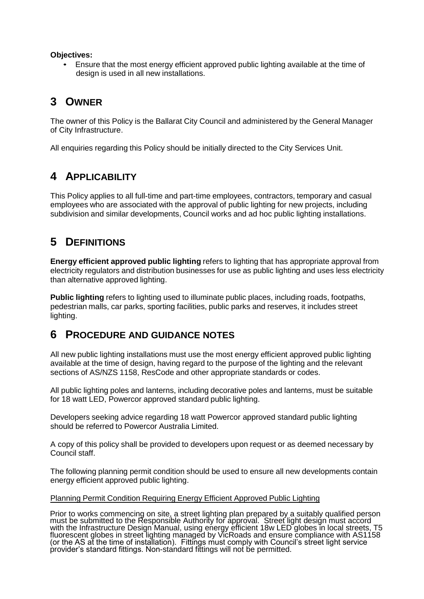#### **Objectives:**

• Ensure that the most energy efficient approved public lighting available at the time of design is used in all new installations.

## **3 OWNER**

The owner of this Policy is the Ballarat City Council and administered by the General Manager of City Infrastructure.

All enquiries regarding this Policy should be initially directed to the City Services Unit.

## **4 APPLICABILITY**

This Policy applies to all full-time and part-time employees, contractors, temporary and casual employees who are associated with the approval of public lighting for new projects, including subdivision and similar developments, Council works and ad hoc public lighting installations.

## **5 DEFINITIONS**

**Energy efficient approved public lighting** refers to lighting that has appropriate approval from electricity regulators and distribution businesses for use as public lighting and uses less electricity than alternative approved lighting.

**Public lighting** refers to lighting used to illuminate public places, including roads, footpaths, pedestrian malls, car parks, sporting facilities, public parks and reserves, it includes street lighting.

## **6 PROCEDURE AND GUIDANCE NOTES**

All new public lighting installations must use the most energy efficient approved public lighting available at the time of design, having regard to the purpose of the lighting and the relevant sections of AS/NZS 1158, ResCode and other appropriate standards or codes.

All public lighting poles and lanterns, including decorative poles and lanterns, must be suitable for 18 watt LED, Powercor approved standard public lighting.

Developers seeking advice regarding 18 watt Powercor approved standard public lighting should be referred to Powercor Australia Limited.

A copy of this policy shall be provided to developers upon request or as deemed necessary by Council staff.

The following planning permit condition should be used to ensure all new developments contain energy efficient approved public lighting.

#### Planning Permit Condition Requiring Energy Efficient Approved Public Lighting

Prior to works commencing on site, a street lighting plan prepared by a suitably qualified person must be submitted to the Responsible Authority for approval. Street light design must accord with the Infrastructure Design Manual, using energy efficient 18w LED globes in local streets, T5 fluorescent globes in street lighting managed by VicRoads and ensure compliance with AS1158 (or the AS at the time of installation). Fittings must comply with Council's street light service provider's standard fittings. Non-standard fittings will not be permitted.